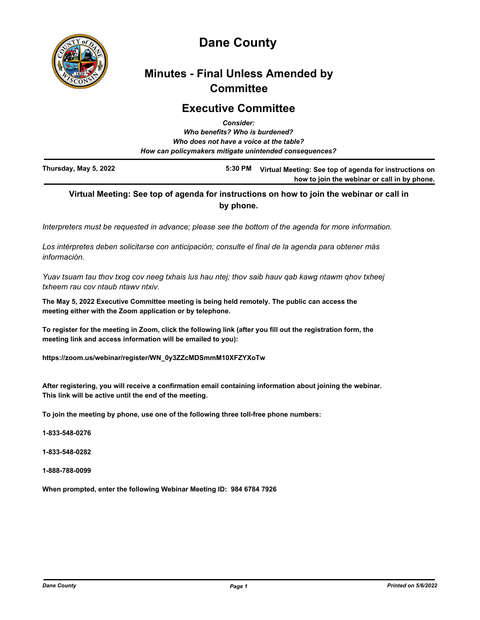

# **Dane County**

# **Minutes - Final Unless Amended by Committee**

### **Executive Committee** *Consider:*

|                       | Gonsider.<br>Who benefits? Who is burdened?            |                                                        |
|-----------------------|--------------------------------------------------------|--------------------------------------------------------|
|                       | Who does not have a voice at the table?                |                                                        |
|                       | How can policymakers mitigate unintended consequences? |                                                        |
| Thursday, May 5, 2022 | 5:30 PM                                                | Virtual Meeting: See top of agenda for instructions on |

## **Virtual Meeting: See top of agenda for instructions on how to join the webinar or call in by phone.**

**how to join the webinar or call in by phone.**

*Interpreters must be requested in advance; please see the bottom of the agenda for more information.*

*Los intérpretes deben solicitarse con anticipación; consulte el final de la agenda para obtener más información.*

*Yuav tsuam tau thov txog cov neeg txhais lus hau ntej; thov saib hauv qab kawg ntawm qhov txheej txheem rau cov ntaub ntawv ntxiv.*

**The May 5, 2022 Executive Committee meeting is being held remotely. The public can access the meeting either with the Zoom application or by telephone.** 

**To register for the meeting in Zoom, click the following link (after you fill out the registration form, the meeting link and access information will be emailed to you):** 

**https://zoom.us/webinar/register/WN\_0y3ZZcMDSmmM10XFZYXoTw**

**After registering, you will receive a confirmation email containing information about joining the webinar. This link will be active until the end of the meeting.**

**To join the meeting by phone, use one of the following three toll-free phone numbers:**

**1-833-548-0276**

**1-833-548-0282**

**1-888-788-0099**

**When prompted, enter the following Webinar Meeting ID: 984 6784 7926**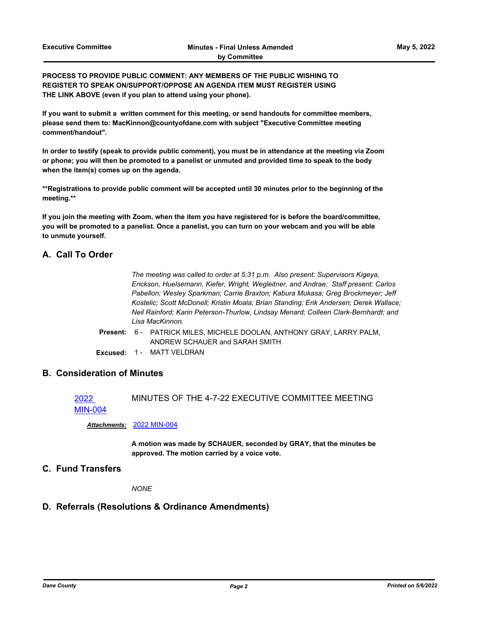**PROCESS TO PROVIDE PUBLIC COMMENT: ANY MEMBERS OF THE PUBLIC WISHING TO REGISTER TO SPEAK ON/SUPPORT/OPPOSE AN AGENDA ITEM MUST REGISTER USING THE LINK ABOVE (even if you plan to attend using your phone).**

**If you want to submit a written comment for this meeting, or send handouts for committee members, please send them to: MacKinnon@countyofdane.com with subject "Executive Committee meeting comment/handout".**

**In order to testify (speak to provide public comment), you must be in attendance at the meeting via Zoom or phone; you will then be promoted to a panelist or unmuted and provided time to speak to the body when the item(s) comes up on the agenda.**

**\*\*Registrations to provide public comment will be accepted until 30 minutes prior to the beginning of the meeting.\*\***

**If you join the meeting with Zoom, when the item you have registered for is before the board/committee, you will be promoted to a panelist. Once a panelist, you can turn on your webcam and you will be able to unmute yourself.**

### **A. Call To Order**

*The meeting was called to order at 5:31 p.m. Also present: Supervisors Kigeya, Erickson, Huelsemann, Kiefer, Wright, Wegleitner, and Andrae; Staff present: Carlos Pabellon; Wesley Sparkman; Carrie Braxton; Kabura Mukasa; Greg Brockmeyer; Jeff Kostelic; Scott McDonell; Kristin Moala; Brian Standing; Erik Andersen; Derek Wallace; Neil Rainford; Karin Peterson-Thurlow, Lindsay Menard; Colleen Clark-Bernhardt; and Lisa MacKinnon.*

- Present: 6 PATRICK MILES, MICHELE DOOLAN, ANTHONY GRAY, LARRY PALM, ANDREW SCHAUER and SARAH SMITH
- **Excused:** 1 MATT VELDRAN

### **B. Consideration of Minutes**

2022 [MIN-004](http://dane.legistar.com/gateway.aspx?m=l&id=/matter.aspx?key=22696) MINUTES OF THE 4-7-22 EXECUTIVE COMMITTEE MEETING

#### *Attachments:* [2022 MIN-004](http://dane.legistar.com/gateway.aspx?M=F&ID=9048e8ab-bf06-4b03-911b-f5a623d53bc0.pdf)

**A motion was made by SCHAUER, seconded by GRAY, that the minutes be approved. The motion carried by a voice vote.**

### **C. Fund Transfers**

*NONE*

# **D. Referrals (Resolutions & Ordinance Amendments)**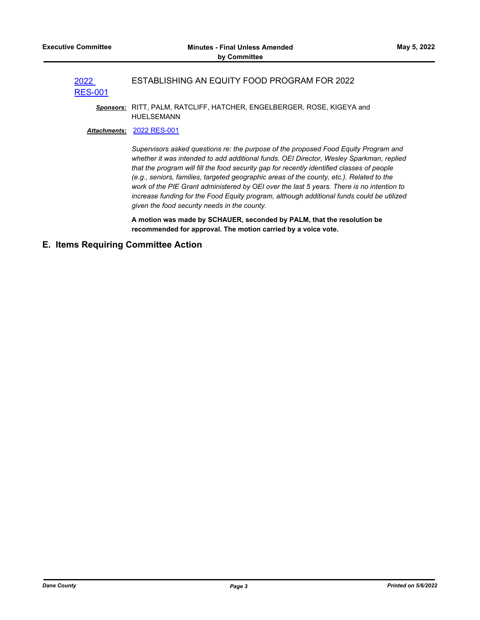#### 2022 ESTABLISHING AN EQUITY FOOD PROGRAM FOR 2022

# [RES-001](http://dane.legistar.com/gateway.aspx?m=l&id=/matter.aspx?key=22699)

*Sponsors:* RITT, PALM, RATCLIFF, HATCHER, ENGELBERGER, ROSE, KIGEYA and HUELSEMANN

#### *Attachments:* [2022 RES-001](http://dane.legistar.com/gateway.aspx?M=F&ID=f88418b0-b9e9-40ab-94e5-407d8780bd68.pdf)

*Supervisors asked questions re: the purpose of the proposed Food Equity Program and whether it was intended to add additional funds. OEI Director, Wesley Sparkman, replied that the program will fill the food security gap for recently identified classes of people (e.g., seniors, families, targeted geographic areas of the county, etc.). Related to the work of the PIE Grant administered by OEI over the last 5 years. There is no intention to increase funding for the Food Equity program, although additional funds could be utilized given the food security needs in the county.*

**A motion was made by SCHAUER, seconded by PALM, that the resolution be recommended for approval. The motion carried by a voice vote.**

### **E. Items Requiring Committee Action**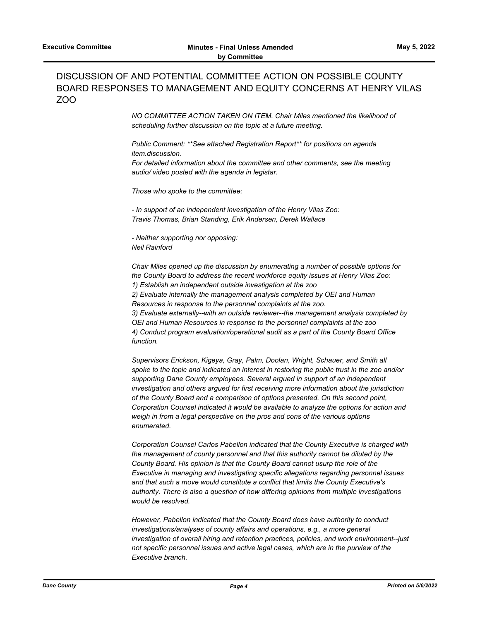## DISCUSSION OF AND POTENTIAL COMMITTEE ACTION ON POSSIBLE COUNTY BOARD RESPONSES TO MANAGEMENT AND EQUITY CONCERNS AT HENRY VILAS ZOO

*NO COMMITTEE ACTION TAKEN ON ITEM. Chair Miles mentioned the likelihood of scheduling further discussion on the topic at a future meeting.*

*Public Comment: \*\*See attached Registration Report\*\* for positions on agenda item.discussion. For detailed information about the committee and other comments, see the meeting audio/ video posted with the agenda in legistar.*

*Those who spoke to the committee:*

*- In support of an independent investigation of the Henry Vilas Zoo: Travis Thomas, Brian Standing, Erik Andersen, Derek Wallace*

*- Neither supporting nor opposing: Neil Rainford*

*Chair Miles opened up the discussion by enumerating a number of possible options for the County Board to address the recent workforce equity issues at Henry Vilas Zoo: 1) Establish an independent outside investigation at the zoo 2) Evaluate internally the management analysis completed by OEI and Human Resources in response to the personnel complaints at the zoo. 3) Evaluate externally--with an outside reviewer--the management analysis completed by OEI and Human Resources in response to the personnel complaints at the zoo 4) Conduct program evaluation/operational audit as a part of the County Board Office function.*

*Supervisors Erickson, Kigeya, Gray, Palm, Doolan, Wright, Schauer, and Smith all spoke to the topic and indicated an interest in restoring the public trust in the zoo and/or supporting Dane County employees. Several argued in support of an independent investigation and others argued for first receiving more information about the jurisdiction of the County Board and a comparison of options presented. On this second point, Corporation Counsel indicated it would be available to analyze the options for action and weigh in from a legal perspective on the pros and cons of the various options enumerated.*

*Corporation Counsel Carlos Pabellon indicated that the County Executive is charged with the management of county personnel and that this authority cannot be diluted by the County Board. His opinion is that the County Board cannot usurp the role of the Executive in managing and investigating specific allegations regarding personnel issues and that such a move would constitute a conflict that limits the County Executive's authority. There is also a question of how differing opinions from multiple investigations would be resolved.*

*However, Pabellon indicated that the County Board does have authority to conduct investigations/analyses of county affairs and operations, e.g., a more general investigation of overall hiring and retention practices, policies, and work environment--just not specific personnel issues and active legal cases, which are in the purview of the Executive branch.*